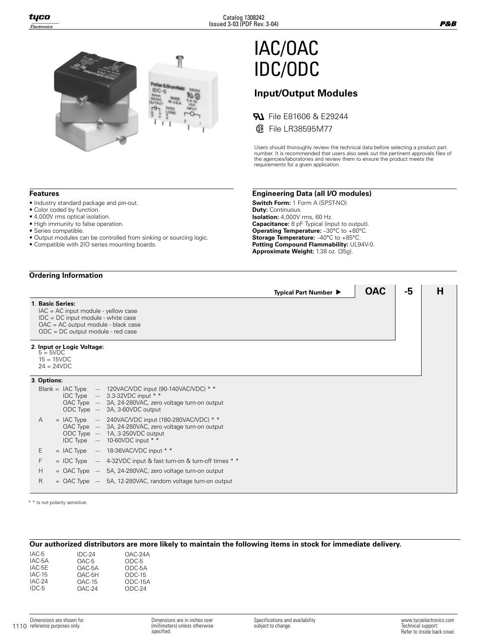

# IAC/OAC IDC/ODC

# **Input/Output Modules**

**File E81606 & E29244** 

File LR38595M77

Users should thoroughly review the technical data before selecting a product part number. It is recommended that users also seek out the pertinent approvals files of the agencies/laboratories and review them to ensure the product meets the requirements for a given application.

**Typical Part Number ▶ │ OAC │ -5 │ H** 

#### **Features**

- Industry standard package and pin-out.
- Color coded by function.
- 4,000V rms optical isolation.
- High immunity to false operation.
- Series compatible.
- Output modules can be controlled from sinking or sourcing logic.
- Compatible with 2IO series mounting boards.

#### **Ordering Information**

#### **1**. **Basic Series:**

- IAC = AC input module yellow case
- IDC = DC input module white case
- OAC = AC output module black case
- ODC = DC output module red case

#### **2**. **Input or Logic Voltage:**

- $5 = 5VDC$ 15 = 15VDC
- 24 = 24VDC

### **3**. **Options:**

|   | ODC Type | Blank = IAC Type $-$ 120VAC/VDC input (90-140VAC/VDC) * *<br>IDC Type $-$ 3.3-32VDC input * *<br>OAC Type - 3A, 24-280VAC, zero voltage turn-on output<br>$-$ 3A, 3-60VDC output         |
|---|----------|------------------------------------------------------------------------------------------------------------------------------------------------------------------------------------------|
| A |          | $=$ IAC Type $-$ 240VAC/VDC input (180-280VAC/VDC) * *<br>OAC Type $-$ 3A, 24-280VAC, zero voltage turn-on output<br>ODC Type - 1A, 3-250VDC output<br>IDC Type $-$ 10-60VDC input $* *$ |
| E |          | $=$ IAC Type $-$ 18-36VAC/VDC input * *                                                                                                                                                  |
| F |          | $=$ IDC Type $-$ 4-32VDC input & fast turn-on & turn-off times $*$                                                                                                                       |
| Н |          | $=$ OAC Type $-$ 5A, 24-280VAC, zero voltage turn-on output                                                                                                                              |
| R |          | $=$ OAC Type $-$ 5A, 12-280VAC, random voltage turn-on output                                                                                                                            |
|   |          |                                                                                                                                                                                          |

\* \* Is not polarity sensitive.

#### **Our authorized distributors are more likely to maintain the following items in stock for immediate delivery.**

| IAC-5<br>IAC-5A<br>IAC-5E<br>$IAC-15$<br>IAC-24 | $IDC-24$<br>$OAC-5$<br>OAC-5A<br>OAC-5H<br>$OAC-15$ | OAC-24A<br>$ODC-5$<br>ODC-5A<br>$ODC-15$<br>ODC-15A |
|-------------------------------------------------|-----------------------------------------------------|-----------------------------------------------------|
| $IDC-5$                                         | $OAC-24$                                            | $ODC-24$                                            |
|                                                 |                                                     |                                                     |

#### **Engineering Data (all I/O modules)**

**Switch Form:** 1 Form A (SPST-NO) **Duty:** Continuous. **Isolation:** 4,000V rms, 60 Hz. **Capacitance:** 8 pF Typical (input to output). **Operating Temperature: -30°C to +80°C. Storage Temperature:** –40°C to +85°C. **Potting Compound Flammability:** UL94V-0. **Approximate Weight:** 1.38 oz. (35g).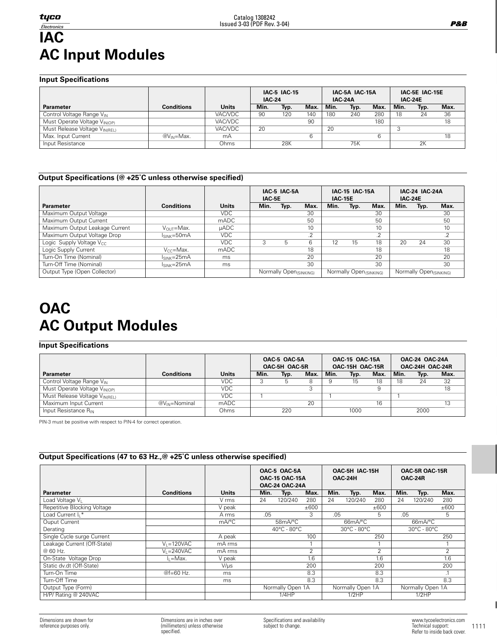# $Electonics$ **IAC AC Input Modules**

**Input Specifications**

|                                         |                        |              | <b>IAC-5 IAC-15</b><br><b>IAC-24</b> |      |      | <b>IAC-24A</b> | IAC-5A IAC-15A |      | IAC-5E IAC-15E<br><b>IAC 24E</b> |      |      |
|-----------------------------------------|------------------------|--------------|--------------------------------------|------|------|----------------|----------------|------|----------------------------------|------|------|
| <b>Parameter</b>                        | <b>Conditions</b>      | <b>Units</b> | Min.                                 | Typ. | Max. | Min.           | Typ.           | Max. | Min.                             | Typ. | Max. |
| Control Voltage Range V <sub>IN</sub>   |                        | VAC/VDC      | 90                                   | 120  | 140  | 180            | 240            | 280  | 18                               | 24   | 36   |
| Must Operate Voltage V <sub>INOP)</sub> |                        | VAC/VDC      |                                      |      | 90   |                |                | 180  |                                  |      | 18   |
| Must Release Voltage VINIRELI           |                        | VAC/VDC      | 20                                   |      |      | 20             |                |      |                                  |      |      |
| Max. Input Current                      | @V <sub>IN</sub> =Max. | mA           |                                      |      | 6    |                |                |      |                                  |      | 18   |
| Input Resistance                        |                        | Ohms         |                                      | 28K  |      |                | 75K            |      |                                  | 2K   |      |

# **Output Specifications (@ +25˚C unless otherwise specified)**

|                                |                   |              |      | IAC 5 IAC 5A<br>IAC-5E |                |      | <b>IAC-15 IAC-15A</b><br><b>IAC-15E</b> |            | <b>IAC-24 IAC-24A</b><br><b>IAC 24E</b> |                        |                 |
|--------------------------------|-------------------|--------------|------|------------------------|----------------|------|-----------------------------------------|------------|-----------------------------------------|------------------------|-----------------|
| <b>Parameter</b>               | <b>Conditions</b> | <b>Units</b> | Min. | Typ.                   | Max.           | Min. | Typ.                                    | Max.       | Min.                                    | Typ.                   | Max.            |
| Maximum Output Voltage         |                   | <b>VDC</b>   |      |                        | 30             |      |                                         | 30         |                                         |                        | 30              |
| Maximum Output Current         |                   | mADC         |      |                        | 50             |      |                                         | 50         |                                         |                        | 50              |
| Maximum Output Leakage Current | $V_{OUT}$ =Max.   | $\mu$ ADC    |      |                        | 10             |      |                                         | 10         |                                         |                        | 10 <sup>°</sup> |
| Maximum Output Voltage Drop    | $ISINK=50mA$      | VDC.         |      |                        | $\Omega$<br>.Z |      |                                         | $\cdot$ .2 |                                         |                        | .2              |
| Logic Supply Voltage Vcc       |                   | <b>VDC</b>   | 3    | 5                      | 6              | 12   | 15                                      | 18         | 20                                      | 24                     | 30              |
| Logic Supply Current           | $V_{CC} = Max.$   | mADC         |      |                        | 18             |      |                                         | 18         |                                         |                        | 18              |
| Turn-On Time (Nominal)         | $ISINK=25mA$      | ms           |      |                        | 20             |      |                                         | 20         |                                         |                        | 20              |
| Turn-Off Time (Nominal)        | $ISINK=25mA$      | ms           |      |                        | 30             |      |                                         | 30         |                                         |                        | 30              |
| Output Type (Open Collector)   |                   |              |      | Normally Open(SINKING) |                |      | Normally Open (SINKING)                 |            |                                         | Normally Open(SINKING) |                 |

# **OAC AC Output Modules**

# **Input Specifications**

|                                         |                           |            | OAC-5 OAC-5A<br>OAC-5H OAC-5R |      |      |      | <b>OAC-15 OAC-15A</b><br>OAC-15H OAC-15R |      | OAC-24 OAC-24A<br>OAC-24H OAC-24R |      |      |  |
|-----------------------------------------|---------------------------|------------|-------------------------------|------|------|------|------------------------------------------|------|-----------------------------------|------|------|--|
| <b>Parameter</b>                        | Conditions                | Units      | Min.                          | Typ. | Max. | Min. | Typ.                                     | Max. | Min.                              | Typ. | Max. |  |
| Control Voltage Range VIN               |                           | <b>VDC</b> |                               |      | 8    |      | 15                                       | 18   | 18                                | 24   | 32   |  |
| Must Operate Voltage V <sub>INOP)</sub> |                           | VDC.       |                               |      |      |      |                                          | 9    |                                   |      | 18   |  |
| Must Release Voltage VINIRELI           |                           | VDC.       |                               |      |      |      |                                          |      |                                   |      |      |  |
| Maximum Input Current                   | @V <sub>IN</sub> =Nominal | mADC       |                               |      | 20   |      |                                          | 16   |                                   |      | 13   |  |
| Input Resistance R <sub>IN</sub>        |                           | Ohms       |                               | 220  |      |      | 1000                                     |      |                                   | 2000 |      |  |

PIN-3 must be positive with respect to PIN-4 for correct operation.

# **Output Specifications (47 to 63 Hz.,@ +25˚C unless otherwise specified)**

|                               |                   |                       | OAC-5 OAC-5A<br>OAC-5H IAC-15H |                                                |                |      |                                 |      |      | OAC-5R OAC-15R                  |                |  |
|-------------------------------|-------------------|-----------------------|--------------------------------|------------------------------------------------|----------------|------|---------------------------------|------|------|---------------------------------|----------------|--|
|                               |                   |                       |                                | <b>OAC-15 OAC-15A</b><br><b>OAC-24 OAC-24A</b> |                |      | OAC-24H                         |      |      | OAC-24R                         |                |  |
| <b>Parameter</b>              | <b>Conditions</b> | <b>Units</b>          | Min.                           | Typ.                                           | Max.           | Min. | Typ.                            | Max. | Min. | Typ.                            | Max.           |  |
| Load Voltage V <sub>I</sub>   |                   | V rms                 | 24                             | 120/240                                        | 280            | 24   | 120/240                         | 280  | 24   | 120/240                         | 280            |  |
| Repetitive Blocking Voltage   |                   | V peak                |                                |                                                | ±600           |      |                                 | ±600 |      |                                 | ±600           |  |
| Load Current I <sub>1</sub> * |                   | A rms                 | .05                            |                                                | 3              | .05  |                                 | 5.   | .05  |                                 | 5              |  |
| Ouput Current                 |                   | $mA$ <sup>o</sup> $C$ |                                | 58mA/°C<br>66mA/°C                             |                |      |                                 |      |      | 66mA/°C                         |                |  |
| Derating                      |                   |                       |                                | $40^{\circ}$ C - 80 $^{\circ}$ C               |                |      | $30^{\circ}$ C - $80^{\circ}$ C |      |      | $30^{\circ}$ C - $80^{\circ}$ C |                |  |
| Single Cycle surge Current    |                   | A peak                |                                |                                                | 100            |      |                                 | 250  |      |                                 | 250            |  |
| Leakage Current (Off-State)   | $V_1 = 120VAC$    | mA rms                |                                |                                                |                |      |                                 |      |      |                                 |                |  |
| @ 60 Hz.                      | $V_1 = 240VAC$    | mA rms                |                                |                                                | $\overline{2}$ |      |                                 | 2    |      |                                 | $\overline{2}$ |  |
| On-State Voltage Drop         | lı =Max.          | V peak                |                                |                                                | 1.6            |      |                                 | 1.6  |      |                                 | 1.6            |  |
| Static dv.dt (Off-State)      |                   | $V/\mu s$             |                                |                                                | 200            |      |                                 | 200  |      |                                 | 200            |  |
| Turn-On Time                  | $@f=60$ Hz.       | ms                    |                                |                                                | 8.3            |      |                                 | 8.3  |      |                                 | $\cdot$ .      |  |
| Turn-Off Time                 |                   | ms                    |                                |                                                | 8.3            |      |                                 | 8.3  |      |                                 | 8.3            |  |
| Output Type (Form)            |                   |                       |                                | Normally Open 1A                               |                |      | Normally Open 1A                |      |      | Normally Open 1A                |                |  |
| H/P/ Rating @ 240VAC          |                   |                       |                                | 1/4HP                                          |                |      | 1/2HP                           |      |      | 1/2HP                           |                |  |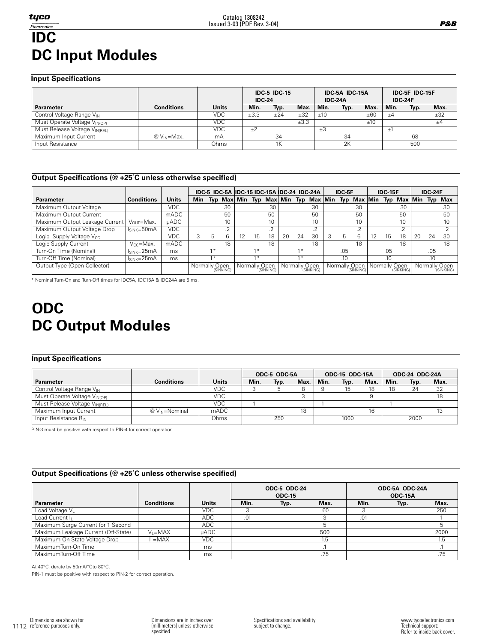#### **Input Specifications**

|                                         |                   |              | <b>IDC-5 IDC-15</b><br><b>IDC-24</b> |      |      | <b>IDC-24A</b> | IDC-5A IDC-15A |      | IDC-5F IDC-15F<br><b>IDC-24F</b> |      |      |
|-----------------------------------------|-------------------|--------------|--------------------------------------|------|------|----------------|----------------|------|----------------------------------|------|------|
| <b>Parameter</b>                        | <b>Conditions</b> | <b>Units</b> | Min.                                 | Typ. | Max. | Min.           | Typ.           | Max. | Min.                             | Typ. | Max. |
| Control Voltage Range VIN               |                   | VDC          | ±3.3                                 | ±24  | ±32  | ±10            |                | ±60  | ±4                               |      | ±32  |
| Must Operate Voltage V <sub>INOP)</sub> |                   | <b>VDC</b>   |                                      |      | ±3.3 |                |                | ±10  |                                  |      | ±4   |
| Must Release Voltage VINIRELI           |                   | <b>VDC</b>   | ±2                                   |      |      | ±3             |                |      | $\pm$                            |      |      |
| Maximum Input Current                   | $@V_{IN}$ =Max.   | mA           |                                      | 34   |      |                | 34             |      |                                  | 68   |      |
| Input Resistance                        |                   | Ohms         |                                      | 1Κ   |      |                | 2K             |      |                                  | 500  |      |

Catalog 1308242 Issued 3-03 (PDF Rev. 3-04)

### **Output Specifications (@ +25˚C unless otherwise specified)**

|                                      |                       |              |               |       |                 |               |                 |    |      | IDC-5 IDC-5A IDC-15 IDC-15A IDC-24 IDC-24A | IDC-5F |                                                 |    | <b>IDC-15F</b> |              |    | <b>IDC-24F</b> |                             |
|--------------------------------------|-----------------------|--------------|---------------|-------|-----------------|---------------|-----------------|----|------|--------------------------------------------|--------|-------------------------------------------------|----|----------------|--------------|----|----------------|-----------------------------|
| <b>Parameter</b>                     | <b>Conditions</b>     | <b>Units</b> | Min           |       |                 |               |                 |    |      |                                            |        | Typ Max Min Typ Max Min Typ Max Min Typ Max Min |    |                | Typ Max Min  |    |                | Typ Max                     |
| Maximum Output Voltage               |                       | <b>VDC</b>   |               |       | 30              |               | 30              |    |      | 30                                         |        | 30                                              |    |                | 30           |    |                | 30                          |
| Maximum Output Current               |                       | mADC         |               |       | 50              |               | 50              |    |      | 50                                         |        | 50                                              |    |                | 50           |    |                | 50                          |
| Maximum Output Leakage Current       | $V_{\Omega I}$ r=Max. | <b>µADC</b>  |               |       | 10              |               | 10 <sup>1</sup> |    |      | 10 <sup>2</sup>                            |        | 10                                              |    |                | 10           |    |                | 10                          |
| Maximum Output Voltage Drop          | $I_{SINK}=50mA$       | <b>VDC</b>   |               |       | $\Omega$<br>ے . |               | $\Omega$        |    |      |                                            |        | $\sqrt{2}$                                      |    |                | <sup>n</sup> |    |                |                             |
| Logic Supply Voltage V <sub>CC</sub> |                       | VDC.         | 3             | h.    | 6               | 15            | 18              | 20 | 24   | 30                                         | b.     | hi                                              | 12 | 15             | 18           | 20 | 24             | 30                          |
| Logic Supply Current                 | $V_{CC} = Max.$       | mADC         |               |       | 18              |               | 18              |    |      | 18                                         |        | 18                                              |    |                | 18           |    |                | 18                          |
| Turn-On Time (Nominal)               | $I_{SINK} = 25mA$     | ms           |               | $1 *$ |                 | $1 *$         |                 |    | $1*$ |                                            | .05    |                                                 |    | .05            |              |    | .05            |                             |
| Turn-Off Time (Nominal)              | $I_{SINK} = 25mA$     | ms           |               | $1*$  |                 | $1*$          |                 |    | $1*$ |                                            | .10    |                                                 |    | .10            |              |    | .10            |                             |
| Output Type (Open Collector)         |                       |              | Normally Open |       | (SINKING)       | Normally Open | (SINKING)       |    |      | Normally Open<br>(SINKING)                 |        | Normally Open<br>(SINKING)                      |    | Normally Open  | (SINKING)    |    |                | Normally Open<br>'(SINKING) |

\* Nominal Turn-On and Turn-Off times for IDC5A, IDC15A & IDC24A are 5 ms.

# **ODC DC Output Modules**

#### **Input Specifications**

|                                           |                    |              | ODC-5 ODC-5A |      |      |      | <b>ODC-15 ODC-15A</b> |      | <b>ODC-24 ODC-24A</b> |      |      |
|-------------------------------------------|--------------------|--------------|--------------|------|------|------|-----------------------|------|-----------------------|------|------|
| <b>Parameter</b>                          | <b>Conditions</b>  | <b>Units</b> | Min.         | Typ. | Max. | Min. | Typ.                  | Max. | Min.                  | Typ. | Max. |
| Control Voltage Range V <sub>IN</sub>     |                    | <b>VDC</b>   |              |      |      |      |                       | 18   |                       | 24   | 32   |
| Must Operate Voltage V <sub>IN(OP)</sub>  |                    | <b>VDC</b>   |              |      |      |      |                       |      |                       |      | 18   |
| Must Release Voltage V <sub>IN(REL)</sub> |                    | <b>VDC</b>   |              |      |      |      |                       |      |                       |      |      |
| Maximum Input Current                     | $@V_{IN}$ =Nominal | mADC         |              |      | 18   |      |                       | 16   |                       |      |      |
| Input Resistance $R_{IN}$                 |                    | Ohms         |              | 250  |      |      | 1000                  |      |                       | 2000 |      |

PIN-3 must be positive with respect to PIN-4 for correct operation.

# **Output Specifications (@ +25˚C unless otherwise specified)**

|                                     |                   |              |      | ODC-5 ODC-24<br><b>ODC-15</b> |      |      | ODC-5A ODC-24A<br>ODC-15A |      |
|-------------------------------------|-------------------|--------------|------|-------------------------------|------|------|---------------------------|------|
| Parameter                           | <b>Conditions</b> | <b>Units</b> | Min. | Typ.                          | Max. | Min. | Typ.                      | Max. |
| Load Voltage V <sub>I</sub>         |                   | <b>VDC</b>   |      |                               | 60   |      |                           | 250  |
| Load Current I <sub>I</sub>         |                   | ADC          | .01  |                               |      | .01  |                           |      |
| Maximum Surge Current for 1 Second  |                   | ADC          |      |                               |      |      |                           | 5    |
| Maximum Leakage Current (Off-State) | $V_1 = MAX$       | <b>µADC</b>  |      |                               | 500  |      |                           | 2000 |
| Maximum On-State Voltage Drop       | $I_1 = MAX$       | VDC.         |      |                               | ı.5  |      |                           | 1.5  |
| MaximumTurn-On Time                 |                   | ms           |      |                               |      |      |                           |      |
| MaximumTurn-Off Time                |                   | ms           |      |                               | .75  |      |                           | .75  |

At 40°C, derate by 50mA/°Cto 80°C.

PIN-1 must be positive with respect to PIN-2 for correct operation.